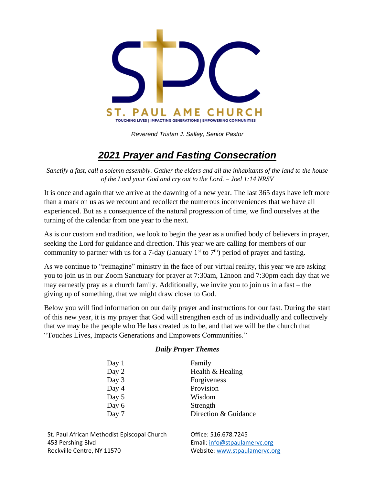

*Reverend Tristan J. Salley, Senior Pastor*

# *2021 Prayer and Fasting Consecration*

*Sanctify a fast, call a solemn assembly. Gather the elders and all the inhabitants of the land to the house of the Lord your God and cry out to the Lord. – Joel 1:14 NRSV*

It is once and again that we arrive at the dawning of a new year. The last 365 days have left more than a mark on us as we recount and recollect the numerous inconveniences that we have all experienced. But as a consequence of the natural progression of time, we find ourselves at the turning of the calendar from one year to the next.

As is our custom and tradition, we look to begin the year as a unified body of believers in prayer, seeking the Lord for guidance and direction. This year we are calling for members of our community to partner with us for a 7-day (January 1<sup>st</sup> to 7<sup>th</sup>) period of prayer and fasting.

As we continue to "reimagine" ministry in the face of our virtual reality, this year we are asking you to join us in our Zoom Sanctuary for prayer at 7:30am, 12noon and 7:30pm each day that we may earnestly pray as a church family. Additionally, we invite you to join us in a fast – the giving up of something, that we might draw closer to God.

Below you will find information on our daily prayer and instructions for our fast. During the start of this new year, it is my prayer that God will strengthen each of us individually and collectively that we may be the people who He has created us to be, and that we will be the church that "Touches Lives, Impacts Generations and Empowers Communities."

#### *Daily Prayer Themes*

| Day 1 | Family               |
|-------|----------------------|
| Day 2 | Health & Healing     |
| Day 3 | Forgiveness          |
| Day 4 | Provision            |
| Day 5 | Wisdom               |
| Day 6 | Strength             |
| Day 7 | Direction & Guidance |

St. Paul African Methodist Episcopal Church Office: 516.678.7245 453 Pershing Blvd Email: [info@stpaulamervc.org](mailto:info@stpaulamervc.org) Rockville Centre, NY 11570 Website[: www.stpaulamervc.org](http://www.stpaulamervc.org/)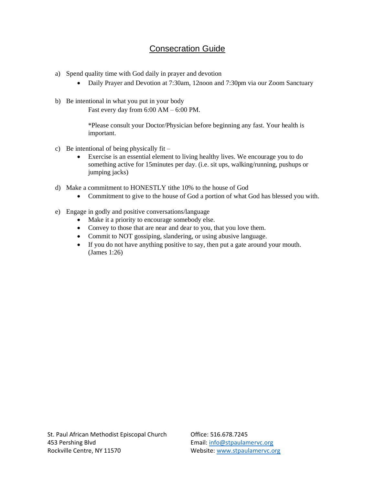### Consecration Guide

- a) Spend quality time with God daily in prayer and devotion
	- Daily Prayer and Devotion at 7:30am, 12noon and 7:30pm via our Zoom Sanctuary
- b) Be intentional in what you put in your body Fast every day from 6:00 AM – 6:00 PM.

\*Please consult your Doctor/Physician before beginning any fast. Your health is important.

- c) Be intentional of being physically fit
	- Exercise is an essential element to living healthy lives. We encourage you to do something active for 15minutes per day. (i.e. sit ups, walking/running, pushups or jumping jacks)
- d) Make a commitment to HONESTLY tithe 10% to the house of God
	- Commitment to give to the house of God a portion of what God has blessed you with.
- e) Engage in godly and positive conversations/language
	- Make it a priority to encourage somebody else.
	- Convey to those that are near and dear to you, that you love them.
	- Commit to NOT gossiping, slandering, or using abusive language.
	- If you do not have anything positive to say, then put a gate around your mouth. (James 1:26)